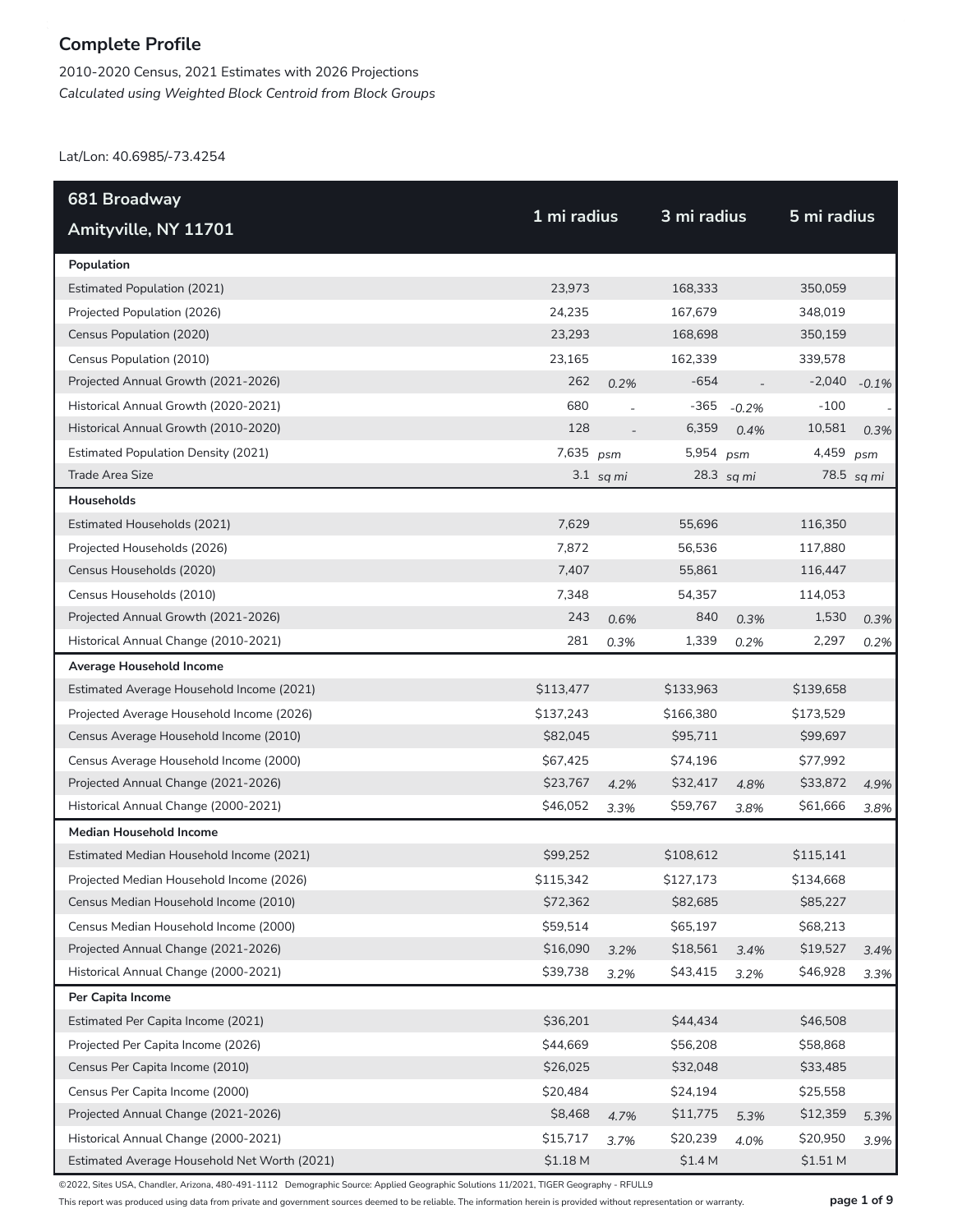2010-2020 Census, 2021 Estimates with 2026 Projections *Calculated using Weighted Block Centroid from Block Groups*

Lat/Lon: 40.6985/-73.4254

| 681 Broadway                                 |             |             |             |            |             |            |
|----------------------------------------------|-------------|-------------|-------------|------------|-------------|------------|
| Amityville, NY 11701                         | 1 mi radius |             | 3 mi radius |            | 5 mi radius |            |
| Population                                   |             |             |             |            |             |            |
| <b>Estimated Population (2021)</b>           | 23,973      |             | 168,333     |            | 350,059     |            |
| Projected Population (2026)                  | 24,235      |             | 167,679     |            | 348,019     |            |
| Census Population (2020)                     | 23,293      |             | 168,698     |            | 350,159     |            |
| Census Population (2010)                     | 23,165      |             | 162,339     |            | 339,578     |            |
| Projected Annual Growth (2021-2026)          | 262         | 0.2%        | $-654$      |            | $-2,040$    | $-0.1%$    |
| Historical Annual Growth (2020-2021)         | 680         |             | -365        | $-0.2%$    | $-100$      |            |
| Historical Annual Growth (2010-2020)         | 128         |             | 6,359       | 0.4%       | 10,581      | 0.3%       |
| <b>Estimated Population Density (2021)</b>   | 7,635 psm   |             | 5,954 psm   |            | 4,459       | psm        |
| Trade Area Size                              |             | $3.1$ sq mi |             | 28.3 sq mi |             | 78.5 sq mi |
| Households                                   |             |             |             |            |             |            |
| Estimated Households (2021)                  | 7,629       |             | 55,696      |            | 116,350     |            |
| Projected Households (2026)                  | 7,872       |             | 56,536      |            | 117,880     |            |
| Census Households (2020)                     | 7,407       |             | 55,861      |            | 116,447     |            |
| Census Households (2010)                     | 7,348       |             | 54,357      |            | 114,053     |            |
| Projected Annual Growth (2021-2026)          | 243         | 0.6%        | 840         | 0.3%       | 1,530       | 0.3%       |
| Historical Annual Change (2010-2021)         | 281         | 0.3%        | 1,339       | 0.2%       | 2,297       | 0.2%       |
| Average Household Income                     |             |             |             |            |             |            |
| Estimated Average Household Income (2021)    | \$113,477   |             | \$133,963   |            | \$139,658   |            |
| Projected Average Household Income (2026)    | \$137,243   |             | \$166,380   |            | \$173,529   |            |
| Census Average Household Income (2010)       | \$82,045    |             | \$95,711    |            | \$99,697    |            |
| Census Average Household Income (2000)       | \$67,425    |             | \$74,196    |            | \$77,992    |            |
| Projected Annual Change (2021-2026)          | \$23,767    | 4.2%        | \$32,417    | 4.8%       | \$33,872    | 4.9%       |
| Historical Annual Change (2000-2021)         | \$46,052    | 3.3%        | \$59,767    | 3.8%       | \$61,666    | 3.8%       |
| <b>Median Household Income</b>               |             |             |             |            |             |            |
| Estimated Median Household Income (2021)     | \$99,252    |             | \$108,612   |            | \$115,141   |            |
| Projected Median Household Income (2026)     | \$115,342   |             | \$127,173   |            | \$134,668   |            |
| Census Median Household Income (2010)        | \$72,362    |             | \$82,685    |            | \$85,227    |            |
| Census Median Household Income (2000)        | \$59,514    |             | \$65,197    |            | \$68,213    |            |
| Projected Annual Change (2021-2026)          | \$16,090    | 3.2%        | \$18,561    | 3.4%       | \$19,527    | 3.4%       |
| Historical Annual Change (2000-2021)         | \$39,738    | 3.2%        | \$43,415    | 3.2%       | \$46,928    | 3.3%       |
| Per Capita Income                            |             |             |             |            |             |            |
| Estimated Per Capita Income (2021)           | \$36,201    |             | \$44,434    |            | \$46,508    |            |
| Projected Per Capita Income (2026)           | \$44,669    |             | \$56,208    |            | \$58,868    |            |
| Census Per Capita Income (2010)              | \$26,025    |             | \$32,048    |            | \$33,485    |            |
| Census Per Capita Income (2000)              | \$20,484    |             | \$24,194    |            | \$25,558    |            |
| Projected Annual Change (2021-2026)          | \$8,468     | 4.7%        | \$11,775    | 5.3%       | \$12,359    | 5.3%       |
| Historical Annual Change (2000-2021)         | \$15,717    | 3.7%        | \$20,239    | 4.0%       | \$20,950    | 3.9%       |
| Estimated Average Household Net Worth (2021) | \$1.18 M    |             | \$1.4 M     |            | \$1.51 M    |            |

©2022, Sites USA, Chandler, Arizona, 480-491-1112 Demographic Source: Applied Geographic Solutions 11/2021, TIGER Geography - RFULL9

This report was produced using data from private and government sources deemed to be reliable. The information herein is provided without representation or warranty. **page 1 of 9**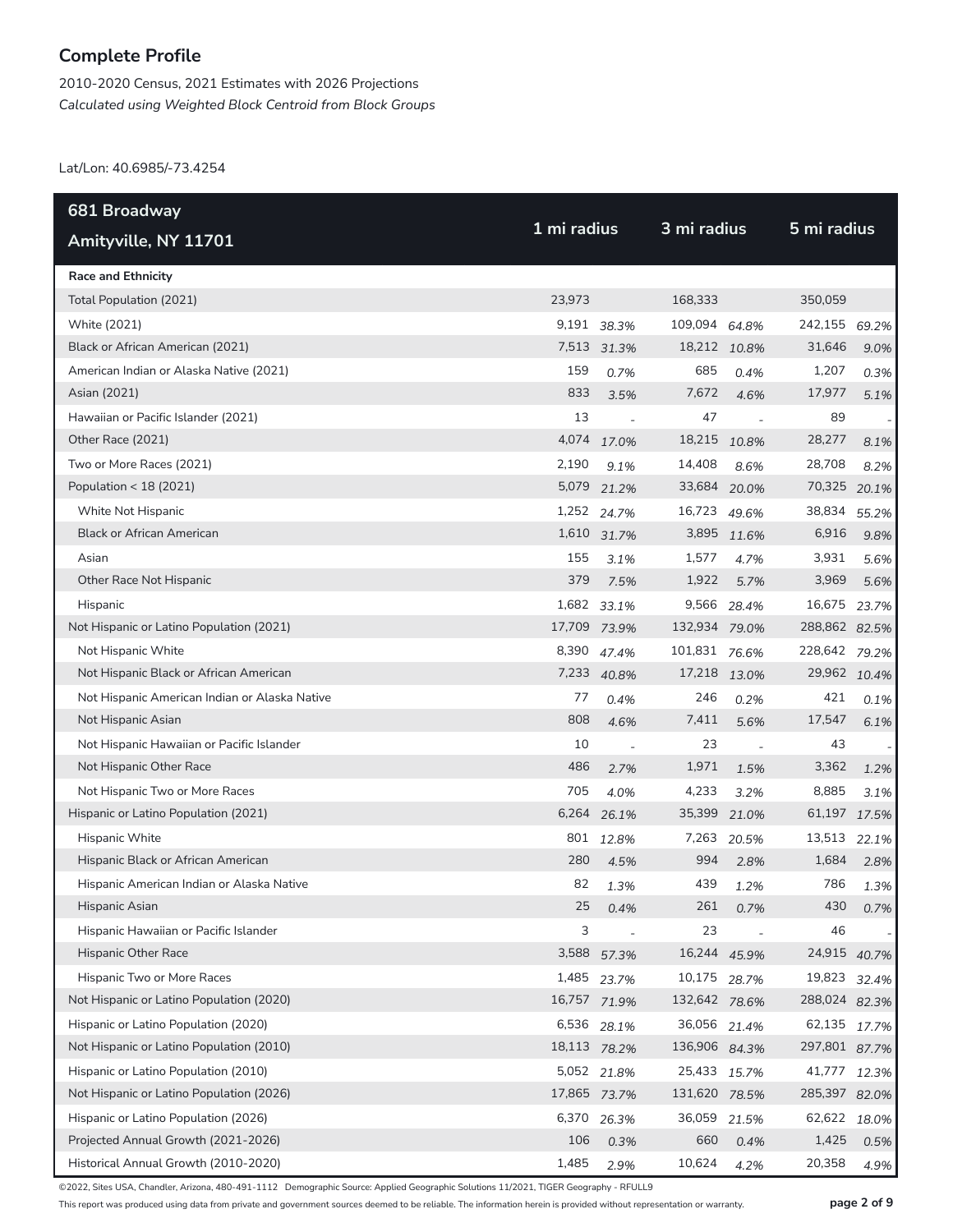2010-2020 Census, 2021 Estimates with 2026 Projections *Calculated using Weighted Block Centroid from Block Groups*

Lat/Lon: 40.6985/-73.4254

| 681 Broadway                                  | 1 mi radius  |                          | 3 mi radius   |                          | 5 mi radius   |       |  |
|-----------------------------------------------|--------------|--------------------------|---------------|--------------------------|---------------|-------|--|
| Amityville, NY 11701                          |              |                          |               |                          |               |       |  |
| <b>Race and Ethnicity</b>                     |              |                          |               |                          |               |       |  |
| Total Population (2021)                       | 23,973       |                          | 168,333       |                          | 350,059       |       |  |
| White (2021)                                  |              | 9,191 38.3%              | 109,094 64.8% |                          | 242,155       | 69.2% |  |
| Black or African American (2021)              |              | 7,513 31.3%              | 18,212 10.8%  |                          | 31,646        | 9.0%  |  |
| American Indian or Alaska Native (2021)       | 159          | 0.7%                     | 685           | 0.4%                     | 1,207         | 0.3%  |  |
| Asian (2021)                                  | 833          | 3.5%                     | 7,672         | 4.6%                     | 17,977        | 5.1%  |  |
| Hawaiian or Pacific Islander (2021)           | 13           | $\overline{\phantom{a}}$ | 47            | $\overline{\phantom{a}}$ | 89            |       |  |
| Other Race (2021)                             |              | 4,074 17.0%              | 18,215        | 10.8%                    | 28,277        | 8.1%  |  |
| Two or More Races (2021)                      | 2,190        | 9.1%                     | 14,408        | 8.6%                     | 28,708        | 8.2%  |  |
| Population < 18 (2021)                        | 5,079        | 21.2%                    | 33,684 20.0%  |                          | 70,325        | 20.1% |  |
| White Not Hispanic                            |              | 1,252 24.7%              | 16,723 49.6%  |                          | 38,834        | 55.2% |  |
| <b>Black or African American</b>              |              | 1,610 31.7%              | 3,895         | 11.6%                    | 6,916         | 9.8%  |  |
| Asian                                         | 155          | 3.1%                     | 1,577         | 4.7%                     | 3,931         | 5.6%  |  |
| Other Race Not Hispanic                       | 379          | 7.5%                     | 1,922         | 5.7%                     | 3,969         | 5.6%  |  |
| Hispanic                                      |              | 1,682 33.1%              |               | 9,566 28.4%              | 16,675        | 23.7% |  |
| Not Hispanic or Latino Population (2021)      | 17,709 73.9% |                          | 132,934 79.0% |                          | 288,862 82.5% |       |  |
| Not Hispanic White                            | 8,390        | 47.4%                    | 101,831 76.6% |                          | 228,642       | 79.2% |  |
| Not Hispanic Black or African American        |              | 7,233 40.8%              | 17,218 13.0%  |                          | 29,962 10.4%  |       |  |
| Not Hispanic American Indian or Alaska Native | 77           | 0.4%                     | 246           | 0.2%                     | 421           | 0.1%  |  |
| Not Hispanic Asian                            | 808          | 4.6%                     | 7,411         | 5.6%                     | 17,547        | 6.1%  |  |
| Not Hispanic Hawaiian or Pacific Islander     | 10           | $\overline{\phantom{a}}$ | 23            | $\overline{\phantom{a}}$ | 43            |       |  |
| Not Hispanic Other Race                       | 486          | 2.7%                     | 1,971         | 1.5%                     | 3,362         | 1.2%  |  |
| Not Hispanic Two or More Races                | 705          | 4.0%                     | 4,233         | 3.2%                     | 8,885         | 3.1%  |  |
| Hispanic or Latino Population (2021)          |              | 6,264 26.1%              | 35,399        | 21.0%                    | 61,197 17.5%  |       |  |
| Hispanic White                                |              | 801 12.8%                | 7,263         | 20.5%                    | 13,513        | 22.1% |  |
| Hispanic Black or African American            | 280          | 4.5%                     | 994           | 2.8%                     | 1,684         | 2.8%  |  |
| Hispanic American Indian or Alaska Native     | 82           | 1.3%                     | 439           | 1.2%                     | 786           | 1.3%  |  |
| Hispanic Asian                                | 25           | 0.4%                     | 261           | 0.7%                     | 430           | 0.7%  |  |
| Hispanic Hawaiian or Pacific Islander         | 3            | $\overline{a}$           | 23            |                          | 46            |       |  |
| Hispanic Other Race                           |              | 3,588 57.3%              | 16,244 45.9%  |                          | 24,915 40.7%  |       |  |
| Hispanic Two or More Races                    |              | 1,485 23.7%              | 10,175 28.7%  |                          | 19,823        | 32.4% |  |
| Not Hispanic or Latino Population (2020)      |              | 16,757 71.9%             | 132,642 78.6% |                          | 288,024 82.3% |       |  |
| Hispanic or Latino Population (2020)          |              | 6,536 28.1%              | 36,056 21.4%  |                          | 62,135        | 17.7% |  |
| Not Hispanic or Latino Population (2010)      |              | 18,113 78.2%             | 136,906 84.3% |                          | 297,801 87.7% |       |  |
| Hispanic or Latino Population (2010)          |              | 5,052 21.8%              | 25,433 15.7%  |                          | 41,777        | 12.3% |  |
| Not Hispanic or Latino Population (2026)      |              | 17,865 73.7%             | 131,620 78.5% |                          | 285,397 82.0% |       |  |
| Hispanic or Latino Population (2026)          |              | 6,370 26.3%              | 36,059 21.5%  |                          | 62,622 18.0%  |       |  |
| Projected Annual Growth (2021-2026)           | 106          | 0.3%                     | 660           | 0.4%                     | 1,425         | 0.5%  |  |
| Historical Annual Growth (2010-2020)          | 1,485        | 2.9%                     | 10,624        | 4.2%                     | 20,358        | 4.9%  |  |

©2022, Sites USA, Chandler, Arizona, 480-491-1112 Demographic Source: Applied Geographic Solutions 11/2021, TIGER Geography - RFULL9

This report was produced using data from private and government sources deemed to be reliable. The information herein is provided without representation or warranty. **page 2 of 9**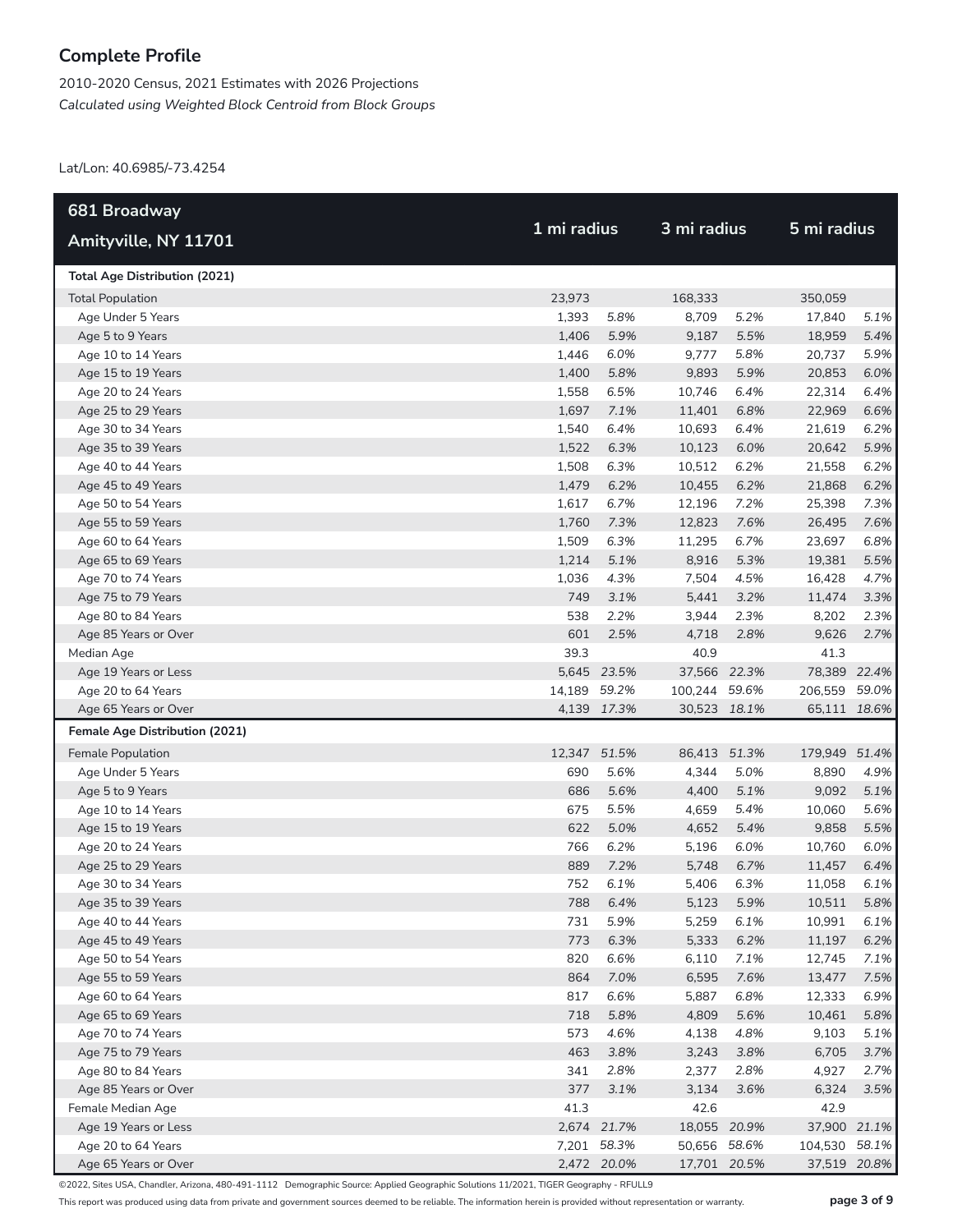2010-2020 Census, 2021 Estimates with 2026 Projections *Calculated using Weighted Block Centroid from Block Groups*

Lat/Lon: 40.6985/-73.4254

| 681 Broadway                             |              |              |                |              | 5 mi radius    |              |
|------------------------------------------|--------------|--------------|----------------|--------------|----------------|--------------|
| Amityville, NY 11701                     |              | 1 mi radius  |                | 3 mi radius  |                |              |
| <b>Total Age Distribution (2021)</b>     |              |              |                |              |                |              |
| <b>Total Population</b>                  | 23,973       |              | 168,333        |              | 350,059        |              |
| Age Under 5 Years                        | 1,393        | 5.8%         | 8,709          | 5.2%         | 17,840         | 5.1%         |
| Age 5 to 9 Years                         | 1,406        | 5.9%         | 9,187          | 5.5%         | 18,959         | 5.4%         |
| Age 10 to 14 Years                       | 1,446        | 6.0%         | 9,777          | 5.8%         | 20,737         | 5.9%         |
| Age 15 to 19 Years                       | 1,400        | 5.8%         | 9,893          | 5.9%         | 20,853         | 6.0%         |
| Age 20 to 24 Years                       | 1,558        | 6.5%         | 10,746         | 6.4%         | 22,314         | 6.4%         |
| Age 25 to 29 Years                       | 1,697        | 7.1%         | 11,401         | 6.8%         | 22,969         | 6.6%         |
| Age 30 to 34 Years                       | 1,540        | 6.4%         | 10,693         | 6.4%         | 21,619         | 6.2%         |
| Age 35 to 39 Years                       | 1,522        | 6.3%         | 10,123         | 6.0%         | 20,642         | 5.9%         |
| Age 40 to 44 Years                       | 1,508        | 6.3%         | 10,512         | 6.2%         | 21,558         | 6.2%         |
| Age 45 to 49 Years                       | 1,479        | 6.2%         | 10,455         | 6.2%         | 21,868         | 6.2%         |
| Age 50 to 54 Years                       | 1,617        | 6.7%         | 12,196         | 7.2%         | 25,398         | 7.3%         |
| Age 55 to 59 Years                       | 1,760        | 7.3%         | 12,823         | 7.6%         | 26,495         | 7.6%         |
| Age 60 to 64 Years                       | 1,509        | 6.3%         | 11,295         | 6.7%         | 23,697         | 6.8%         |
| Age 65 to 69 Years                       | 1,214        | 5.1%         | 8,916          | 5.3%         | 19,381         | 5.5%         |
| Age 70 to 74 Years                       | 1,036        | 4.3%         | 7,504          | 4.5%         | 16,428         | 4.7%         |
| Age 75 to 79 Years                       | 749          | 3.1%         | 5,441          | 3.2%         | 11,474         | 3.3%         |
| Age 80 to 84 Years                       | 538          | 2.2%         | 3,944          | 2.3%         | 8,202          | 2.3%         |
| Age 85 Years or Over                     | 601          | 2.5%         | 4,718          | 2.8%         | 9,626          | 2.7%         |
| Median Age                               | 39.3         |              | 40.9           |              | 41.3           |              |
| Age 19 Years or Less                     |              | 5,645 23.5%  | 37,566 22.3%   |              | 78,389 22.4%   |              |
| Age 20 to 64 Years                       | 14,189 59.2% |              | 100,244 59.6%  |              | 206,559        | 59.0%        |
| Age 65 Years or Over                     |              | 4,139 17.3%  | 30,523 18.1%   |              | 65,111 18.6%   |              |
| Female Age Distribution (2021)           |              |              |                |              |                |              |
| Female Population                        | 12,347 51.5% |              | 86,413 51.3%   |              | 179,949 51.4%  |              |
| Age Under 5 Years                        | 690          | 5.6%         | 4,344          | 5.0%         | 8,890          | 4.9%         |
| Age 5 to 9 Years                         | 686          | 5.6%         | 4,400          | 5.1%         | 9,092          | 5.1%         |
| Age 10 to 14 Years                       | 675          | 5.5%         | 4,659          | 5.4%         | 10,060         | 5.6%         |
| Age 15 to 19 Years                       | 622          | 5.0%         | 4,652          | 5.4%         | 9,858          | 5.5%         |
| Age 20 to 24 Years                       | 766          | 6.2%         | 5,196          | 6.0%         | 10,760         | 6.0%         |
| Age 25 to 29 Years                       | 889          | 7.2%         | 5,748          | 6.7%         | 11,457         | 6.4%         |
| Age 30 to 34 Years                       | 752          | 6.1%         | 5,406          | 6.3%         | 11,058         | 6.1%         |
| Age 35 to 39 Years                       |              | 788 6.4%     | 5,123          | 5.9%         | 10,511         | 5.8%         |
| Age 40 to 44 Years                       | 731          | 5.9%         | 5,259          | 6.1%         | 10,991         | 6.1%         |
| Age 45 to 49 Years                       | 773          | 6.3%         | 5,333          | 6.2%         | 11,197         | 6.2%         |
| Age 50 to 54 Years                       | 820          | 6.6%         | 6,110          | 7.1%         | 12,745         | 7.1%         |
| Age 55 to 59 Years                       | 864          | 7.0%         | 6,595          | 7.6%         | 13,477         | 7.5%         |
| Age 60 to 64 Years                       | 817<br>718   | 6.6%         | 5,887          | 6.8%         | 12,333         | 6.9%         |
| Age 65 to 69 Years                       | 573          | 5.8%<br>4.6% | 4,809          | 5.6%<br>4.8% | 10,461         | 5.8%         |
| Age 70 to 74 Years<br>Age 75 to 79 Years | 463          | 3.8%         | 4,138<br>3,243 | 3.8%         | 9,103<br>6,705 | 5.1%<br>3.7% |
| Age 80 to 84 Years                       | 341          | 2.8%         | 2,377          | 2.8%         | 4,927          | 2.7%         |
| Age 85 Years or Over                     | 377          | 3.1%         | 3,134          | 3.6%         | 6,324          | 3.5%         |
| Female Median Age                        | 41.3         |              | 42.6           |              | 42.9           |              |
| Age 19 Years or Less                     |              | 2,674 21.7%  | 18,055 20.9%   |              | 37,900 21.1%   |              |
| Age 20 to 64 Years                       |              | 7,201 58.3%  | 50,656 58.6%   |              | 104,530        | 58.1%        |
| Age 65 Years or Over                     |              | 2,472 20.0%  | 17,701 20.5%   |              | 37,519 20.8%   |              |

©2022, Sites USA, Chandler, Arizona, 480-491-1112 Demographic Source: Applied Geographic Solutions 11/2021, TIGER Geography - RFULL9

This report was produced using data from private and government sources deemed to be reliable. The information herein is provided without representation or warranty. **page 3 of 9**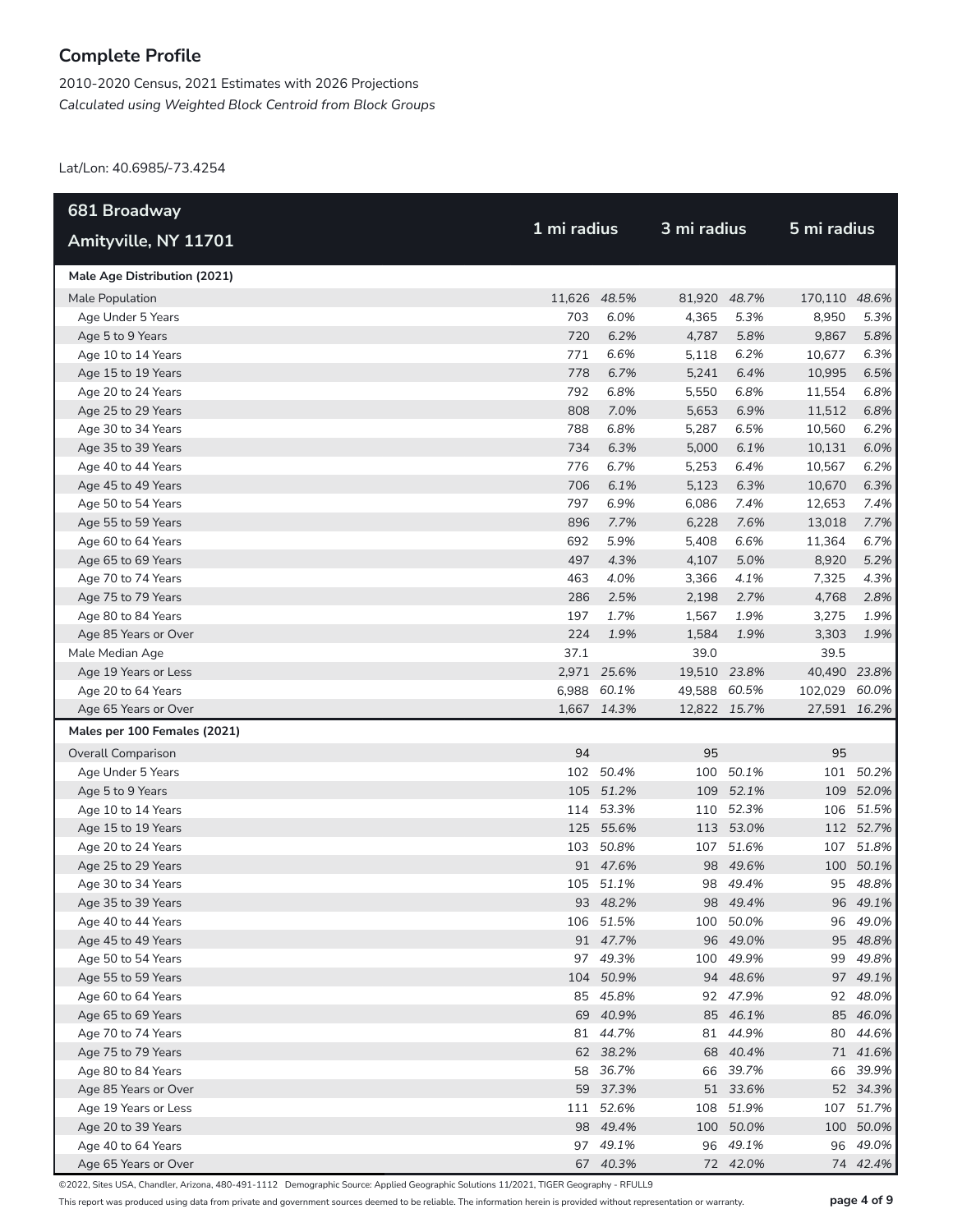2010-2020 Census, 2021 Estimates with 2026 Projections *Calculated using Weighted Block Centroid from Block Groups*

Lat/Lon: 40.6985/-73.4254

| 681 Broadway                 |              |             |              |           | 5 mi radius   |              |  |
|------------------------------|--------------|-------------|--------------|-----------|---------------|--------------|--|
| Amityville, NY 11701         | 1 mi radius  |             | 3 mi radius  |           |               |              |  |
| Male Age Distribution (2021) |              |             |              |           |               |              |  |
| Male Population              | 11,626 48.5% |             | 81,920 48.7% |           | 170,110 48.6% |              |  |
| Age Under 5 Years            | 703          | 6.0%        | 4,365        | 5.3%      | 8,950         | 5.3%         |  |
| Age 5 to 9 Years             | 720          | 6.2%        | 4,787        | 5.8%      | 9,867         | 5.8%         |  |
| Age 10 to 14 Years           | 771          | 6.6%        | 5,118        | 6.2%      | 10,677        | 6.3%         |  |
| Age 15 to 19 Years           | 778          | 6.7%        | 5,241        | 6.4%      | 10,995        | 6.5%         |  |
| Age 20 to 24 Years           | 792          | 6.8%        | 5,550        | 6.8%      | 11,554        | 6.8%         |  |
| Age 25 to 29 Years           | 808          | 7.0%        | 5,653        | 6.9%      | 11,512        | 6.8%         |  |
| Age 30 to 34 Years           | 788          | 6.8%        | 5,287        | 6.5%      | 10,560        | 6.2%         |  |
| Age 35 to 39 Years           | 734          | 6.3%        | 5,000        | 6.1%      | 10,131        | 6.0%         |  |
| Age 40 to 44 Years           | 776          | 6.7%        | 5,253        | 6.4%      | 10,567        | 6.2%         |  |
| Age 45 to 49 Years           | 706          | 6.1%        | 5,123        | 6.3%      | 10,670        | 6.3%         |  |
| Age 50 to 54 Years           | 797          | 6.9%        | 6,086        | 7.4%      | 12,653        | 7.4%         |  |
| Age 55 to 59 Years           | 896          | 7.7%        | 6,228        | 7.6%      | 13,018        | 7.7%         |  |
| Age 60 to 64 Years           | 692          | 5.9%        | 5,408        | 6.6%      | 11,364        | 6.7%         |  |
| Age 65 to 69 Years           | 497          | 4.3%        | 4,107        | 5.0%      | 8,920         | 5.2%         |  |
| Age 70 to 74 Years           | 463          | 4.0%        | 3,366        | 4.1%      | 7,325         | 4.3%         |  |
| Age 75 to 79 Years           | 286          | 2.5%        | 2,198        | 2.7%      | 4,768         | 2.8%         |  |
| Age 80 to 84 Years           | 197          | 1.7%        | 1,567        | 1.9%      | 3,275         | 1.9%         |  |
| Age 85 Years or Over         | 224          | 1.9%        | 1,584        | 1.9%      | 3,303         | 1.9%         |  |
| Male Median Age              | 37.1         |             | 39.0         |           | 39.5          |              |  |
| Age 19 Years or Less         |              | 2,971 25.6% | 19,510 23.8% |           | 40,490 23.8%  |              |  |
| Age 20 to 64 Years           |              | 6,988 60.1% | 49,588 60.5% |           | 102,029 60.0% |              |  |
| Age 65 Years or Over         |              | 1,667 14.3% | 12,822 15.7% |           |               | 27,591 16.2% |  |
| Males per 100 Females (2021) |              |             |              |           |               |              |  |
| <b>Overall Comparison</b>    | 94           |             | 95           |           | 95            |              |  |
| Age Under 5 Years            |              | 102 50.4%   | 100          | 50.1%     |               | 101 50.2%    |  |
| Age 5 to 9 Years             |              | 105 51.2%   | 109          | 52.1%     |               | 109 52.0%    |  |
| Age 10 to 14 Years           |              | 114 53.3%   |              | 110 52.3% |               | 106 51.5%    |  |
| Age 15 to 19 Years           |              | 125 55.6%   |              | 113 53.0% |               | 112 52.7%    |  |
| Age 20 to 24 Years           |              | 103 50.8%   | 107          | 51.6%     |               | 107 51.8%    |  |
| Age 25 to 29 Years           |              | 91 47.6%    |              | 98 49.6%  |               | 100 50.1%    |  |
| Age 30 to 34 Years           |              | 105 51.1%   |              | 98 49.4%  |               | 95 48.8%     |  |
| Age 35 to 39 Years           |              | 93 48.2%    |              | 98 49.4%  |               | 96 49.1%     |  |
| Age 40 to 44 Years           |              | 106 51.5%   |              | 100 50.0% |               | 96 49.0%     |  |
| Age 45 to 49 Years           |              | 91 47.7%    |              | 96 49.0%  |               | 95 48.8%     |  |
| Age 50 to 54 Years           |              | 97 49.3%    |              | 100 49.9% |               | 99 49.8%     |  |
| Age 55 to 59 Years           |              | 104 50.9%   |              | 94 48.6%  |               | 97 49.1%     |  |
| Age 60 to 64 Years           |              | 85 45.8%    |              | 92 47.9%  |               | 92 48.0%     |  |
| Age 65 to 69 Years           |              | 69 40.9%    |              | 85 46.1%  |               | 85 46.0%     |  |
| Age 70 to 74 Years           |              | 81 44.7%    |              | 81 44.9%  |               | 80 44.6%     |  |
| Age 75 to 79 Years           |              | 62 38.2%    |              | 68 40.4%  |               | 71 41.6%     |  |
| Age 80 to 84 Years           |              | 58 36.7%    |              | 66 39.7%  |               | 66 39.9%     |  |
| Age 85 Years or Over         |              | 59 37.3%    |              | 51 33.6%  |               | 52 34.3%     |  |
| Age 19 Years or Less         |              | 111 52.6%   |              | 108 51.9% |               | 107 51.7%    |  |
| Age 20 to 39 Years           |              | 98 49.4%    | 100          | 50.0%     |               | 100 50.0%    |  |
| Age 40 to 64 Years           |              | 97 49.1%    |              | 96 49.1%  |               | 96 49.0%     |  |
| Age 65 Years or Over         |              | 67 40.3%    |              | 72 42.0%  |               | 74 42.4%     |  |

©2022, Sites USA, Chandler, Arizona, 480-491-1112 Demographic Source: Applied Geographic Solutions 11/2021, TIGER Geography - RFULL9

This report was produced using data from private and government sources deemed to be reliable. The information herein is provided without representation or warranty. **page 4 of 9**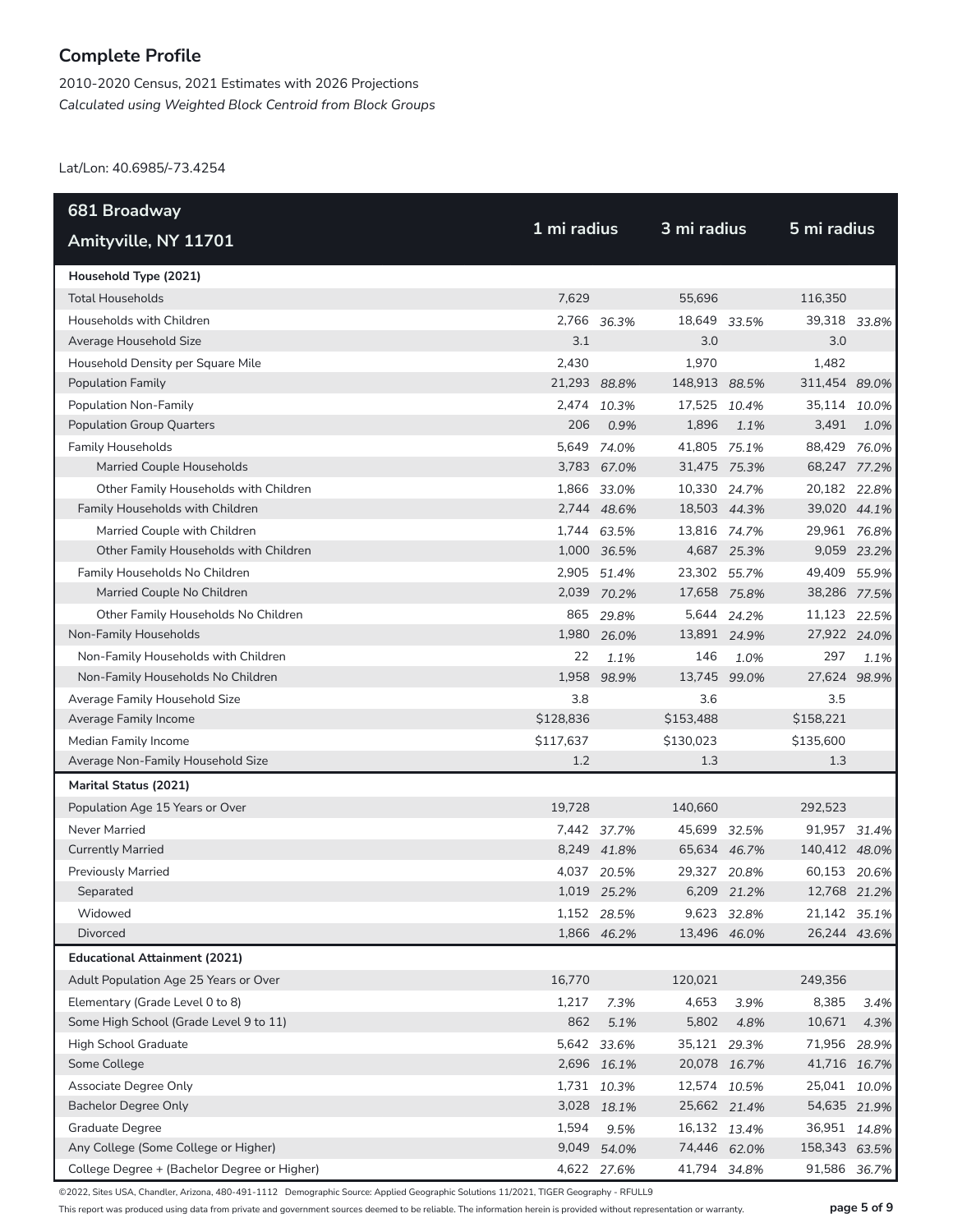2010-2020 Census, 2021 Estimates with 2026 Projections *Calculated using Weighted Block Centroid from Block Groups*

Lat/Lon: 40.6985/-73.4254

| 681 Broadway                                 |              |             |               |             |               |              |
|----------------------------------------------|--------------|-------------|---------------|-------------|---------------|--------------|
| Amityville, NY 11701                         | 1 mi radius  |             | 3 mi radius   |             | 5 mi radius   |              |
| Household Type (2021)                        |              |             |               |             |               |              |
| <b>Total Households</b>                      | 7,629        |             | 55,696        |             | 116,350       |              |
| Households with Children                     |              | 2,766 36.3% | 18,649        | 33.5%       | 39,318 33.8%  |              |
| Average Household Size                       | 3.1          |             | 3.0           |             | 3.0           |              |
| Household Density per Square Mile            | 2,430        |             | 1,970         |             | 1,482         |              |
| <b>Population Family</b>                     | 21,293 88.8% |             | 148,913 88.5% |             | 311,454 89.0% |              |
| Population Non-Family                        | 2.474        | 10.3%       | 17,525        | 10.4%       | 35,114        | 10.0%        |
| <b>Population Group Quarters</b>             | 206          | 0.9%        | 1,896         | 1.1%        | 3,491         | 1.0%         |
| <b>Family Households</b>                     |              | 5,649 74.0% | 41,805 75.1%  |             | 88,429 76.0%  |              |
| Married Couple Households                    |              | 3,783 67.0% | 31,475 75.3%  |             | 68,247 77.2%  |              |
| Other Family Households with Children        |              | 1,866 33.0% | 10,330 24.7%  |             | 20,182 22.8%  |              |
| Family Households with Children              |              | 2,744 48.6% | 18,503 44.3%  |             | 39,020 44.1%  |              |
| Married Couple with Children                 |              | 1,744 63.5% | 13,816 74.7%  |             | 29,961 76.8%  |              |
| Other Family Households with Children        |              | 1,000 36.5% |               | 4,687 25.3% |               | 9,059 23.2%  |
| Family Households No Children                |              | 2,905 51.4% | 23,302 55.7%  |             | 49,409 55.9%  |              |
| Married Couple No Children                   |              | 2,039 70.2% | 17,658 75.8%  |             | 38,286 77.5%  |              |
| Other Family Households No Children          |              | 865 29.8%   |               | 5,644 24.2% | 11,123 22.5%  |              |
| Non-Family Households                        |              | 1,980 26.0% | 13,891 24.9%  |             | 27,922 24.0%  |              |
| Non-Family Households with Children          | 22           | 1.1%        | 146           | 1.0%        | 297           | 1.1%         |
| Non-Family Households No Children            |              | 1,958 98.9% | 13,745        | 99.0%       | 27,624 98.9%  |              |
| Average Family Household Size                | 3.8          |             | 3.6           |             | 3.5           |              |
| Average Family Income                        | \$128,836    |             | \$153,488     |             | \$158,221     |              |
| Median Family Income                         | \$117,637    |             | \$130,023     |             | \$135,600     |              |
| Average Non-Family Household Size            | 1.2          |             | 1.3           |             | 1.3           |              |
| Marital Status (2021)                        |              |             |               |             |               |              |
| Population Age 15 Years or Over              | 19,728       |             | 140,660       |             | 292,523       |              |
| Never Married                                |              | 7,442 37.7% | 45,699 32.5%  |             | 91,957 31.4%  |              |
| <b>Currently Married</b>                     |              | 8,249 41.8% | 65,634 46.7%  |             | 140,412 48.0% |              |
| <b>Previously Married</b>                    |              | 4,037 20.5% | 29,327        | 20.8%       | 60,153        | 20.6%        |
| Separated                                    |              | 1,019 25.2% |               | 6,209 21.2% | 12,768 21.2%  |              |
| Widowed                                      |              | 1,152 28.5% |               | 9,623 32.8% | 21,142 35.1%  |              |
| Divorced                                     |              | 1,866 46.2% | 13,496 46.0%  |             | 26,244 43.6%  |              |
| <b>Educational Attainment (2021)</b>         |              |             |               |             |               |              |
| Adult Population Age 25 Years or Over        | 16,770       |             | 120,021       |             | 249,356       |              |
| Elementary (Grade Level 0 to 8)              | 1,217        | 7.3%        | 4,653         | 3.9%        | 8,385         | 3.4%         |
| Some High School (Grade Level 9 to 11)       | 862          | 5.1%        | 5,802         | 4.8%        | 10,671        | 4.3%         |
| High School Graduate                         |              | 5,642 33.6% | 35,121 29.3%  |             | 71,956        | 28.9%        |
| Some College                                 |              | 2,696 16.1% | 20,078 16.7%  |             | 41,716 16.7%  |              |
| Associate Degree Only                        |              | 1,731 10.3% | 12,574 10.5%  |             | 25,041        | 10.0%        |
| <b>Bachelor Degree Only</b>                  |              | 3,028 18.1% | 25,662 21.4%  |             | 54,635 21.9%  |              |
| Graduate Degree                              | 1,594        | 9.5%        | 16,132 13.4%  |             | 36,951 14.8%  |              |
| Any College (Some College or Higher)         |              | 9,049 54.0% | 74,446 62.0%  |             | 158,343 63.5% |              |
| College Degree + (Bachelor Degree or Higher) |              | 4,622 27.6% | 41,794 34.8%  |             |               | 91,586 36.7% |

©2022, Sites USA, Chandler, Arizona, 480-491-1112 Demographic Source: Applied Geographic Solutions 11/2021, TIGER Geography - RFULL9

This report was produced using data from private and government sources deemed to be reliable. The information herein is provided without representation or warranty. **page 5 of 9**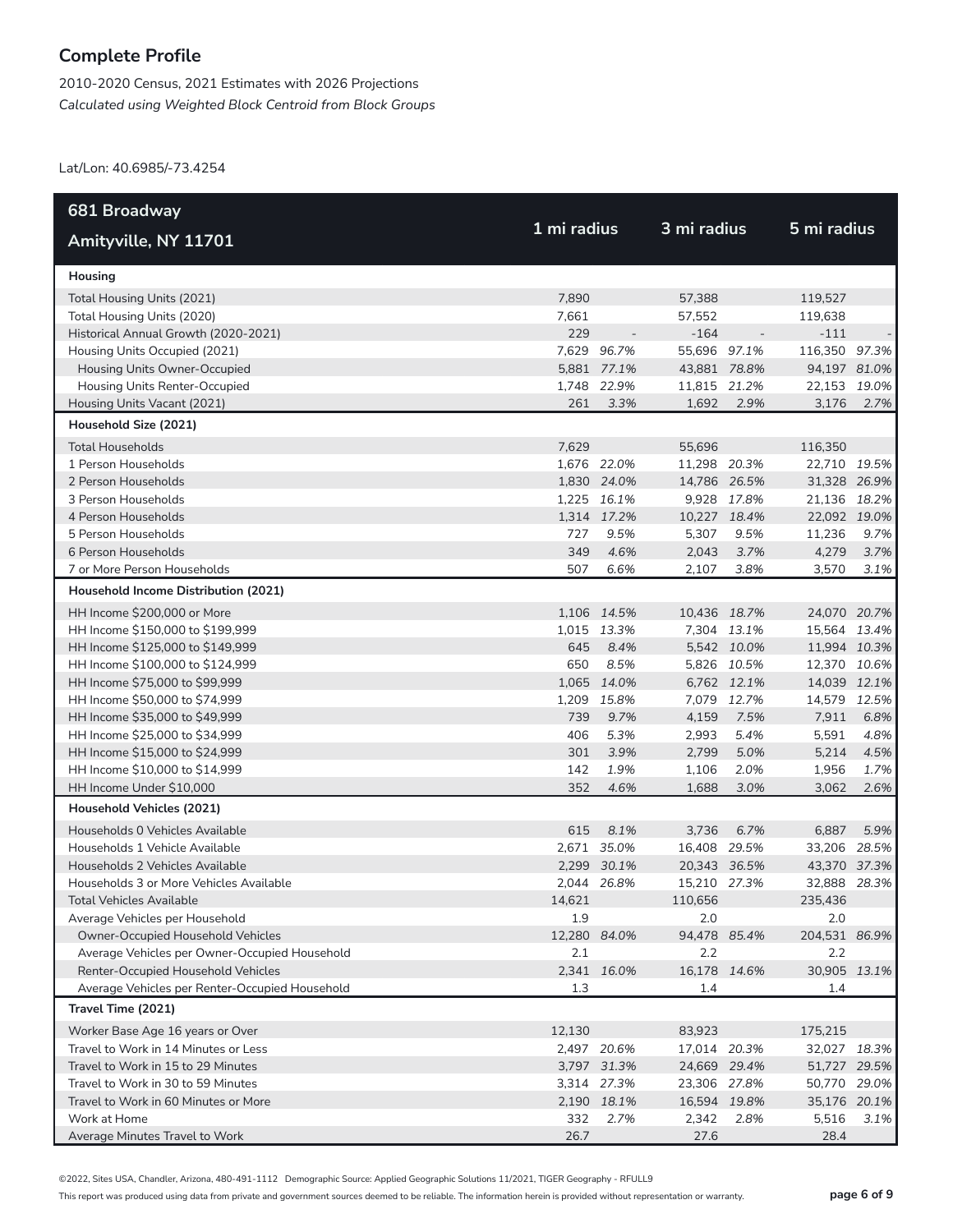2010-2020 Census, 2021 Estimates with 2026 Projections *Calculated using Weighted Block Centroid from Block Groups*

Lat/Lon: 40.6985/-73.4254

| 681 Broadway                                   |              |             |              |                          |               |      |
|------------------------------------------------|--------------|-------------|--------------|--------------------------|---------------|------|
| Amityville, NY 11701                           | 1 mi radius  |             | 3 mi radius  |                          | 5 mi radius   |      |
| Housing                                        |              |             |              |                          |               |      |
| Total Housing Units (2021)                     | 7,890        |             | 57.388       |                          | 119,527       |      |
| Total Housing Units (2020)                     | 7,661        |             | 57,552       |                          | 119,638       |      |
| Historical Annual Growth (2020-2021)           | 229          |             | $-164$       | $\overline{\phantom{a}}$ | $-111$        |      |
| Housing Units Occupied (2021)                  |              | 7,629 96.7% | 55,696 97.1% |                          | 116,350 97.3% |      |
| Housing Units Owner-Occupied                   |              | 5,881 77.1% | 43,881 78.8% |                          | 94,197 81.0%  |      |
| Housing Units Renter-Occupied                  |              | 1.748 22.9% | 11,815 21.2% |                          | 22,153 19.0%  |      |
| Housing Units Vacant (2021)                    | 261          | 3.3%        | 1,692        | 2.9%                     | 3,176         | 2.7% |
| Household Size (2021)                          |              |             |              |                          |               |      |
| <b>Total Households</b>                        | 7,629        |             | 55,696       |                          | 116,350       |      |
| 1 Person Households                            |              | 1,676 22.0% | 11,298 20.3% |                          | 22,710 19.5%  |      |
| 2 Person Households                            |              | 1,830 24.0% | 14,786 26.5% |                          | 31,328 26.9%  |      |
| 3 Person Households                            |              | 1,225 16.1% |              | 9,928 17.8%              | 21,136 18.2%  |      |
| 4 Person Households                            |              | 1,314 17.2% | 10,227 18.4% |                          | 22,092 19.0%  |      |
| 5 Person Households                            | 727          | 9.5%        | 5,307        | 9.5%                     | 11,236        | 9.7% |
| 6 Person Households                            | 349          | 4.6%        | 2,043        | 3.7%                     | 4,279         | 3.7% |
| 7 or More Person Households                    | 507          | 6.6%        | 2,107        | 3.8%                     | 3,570         | 3.1% |
| Household Income Distribution (2021)           |              |             |              |                          |               |      |
| HH Income \$200,000 or More                    |              | 1,106 14.5% | 10,436 18.7% |                          | 24,070 20.7%  |      |
| HH Income \$150,000 to \$199,999               |              | 1,015 13.3% |              | 7,304 13.1%              | 15,564 13.4%  |      |
| HH Income \$125,000 to \$149,999               | 645          | 8.4%        |              | 5,542 10.0%              | 11,994 10.3%  |      |
| HH Income \$100,000 to \$124,999               | 650          | 8.5%        |              | 5,826 10.5%              | 12,370 10.6%  |      |
| HH Income \$75,000 to \$99,999                 |              | 1,065 14.0% |              | 6,762 12.1%              | 14,039 12.1%  |      |
| HH Income \$50,000 to \$74,999                 |              | 1,209 15.8% |              | 7,079 12.7%              | 14,579 12.5%  |      |
| HH Income \$35,000 to \$49,999                 | 739          | 9.7%        | 4,159        | 7.5%                     | 7,911         | 6.8% |
| HH Income \$25,000 to \$34,999                 | 406          | 5.3%        | 2,993        | 5.4%                     | 5,591         | 4.8% |
| HH Income \$15,000 to \$24,999                 | 301          | 3.9%        | 2,799        | 5.0%                     | 5,214         | 4.5% |
| HH Income \$10,000 to \$14,999                 | 142          | 1.9%        | 1,106        | 2.0%                     | 1,956         | 1.7% |
| HH Income Under \$10,000                       | 352          | 4.6%        | 1,688        | 3.0%                     | 3,062         | 2.6% |
| Household Vehicles (2021)                      |              |             |              |                          |               |      |
| Households 0 Vehicles Available                | 615          | 8.1%        | 3,736        | 6.7%                     | 6,887         | 5.9% |
| Households 1 Vehicle Available                 |              | 2,671 35.0% | 16,408 29.5% |                          | 33,206 28.5%  |      |
| Households 2 Vehicles Available                |              | 2,299 30.1% | 20,343 36.5% |                          | 43,370 37.3%  |      |
| Households 3 or More Vehicles Available        |              | 2,044 26.8% | 15,210 27.3% |                          | 32,888 28.3%  |      |
| Total Vehicles Available                       | 14,621       |             | 110,656      |                          | 235,436       |      |
| Average Vehicles per Household                 | 1.9          |             | 2.0          |                          | 2.0           |      |
| Owner-Occupied Household Vehicles              | 12,280 84.0% |             | 94,478 85.4% |                          | 204,531 86.9% |      |
| Average Vehicles per Owner-Occupied Household  | 2.1          |             | 2.2          |                          | 2.2           |      |
| Renter-Occupied Household Vehicles             |              | 2,341 16.0% | 16,178 14.6% |                          | 30,905 13.1%  |      |
| Average Vehicles per Renter-Occupied Household | 1.3          |             | 1.4          |                          | 1.4           |      |
| Travel Time (2021)                             |              |             |              |                          |               |      |
| Worker Base Age 16 years or Over               | 12,130       |             | 83,923       |                          | 175,215       |      |
| Travel to Work in 14 Minutes or Less           |              | 2,497 20.6% | 17,014 20.3% |                          | 32,027 18.3%  |      |
| Travel to Work in 15 to 29 Minutes             |              | 3,797 31.3% | 24,669 29.4% |                          | 51,727 29.5%  |      |
| Travel to Work in 30 to 59 Minutes             |              | 3,314 27.3% | 23,306 27.8% |                          | 50,770 29.0%  |      |
| Travel to Work in 60 Minutes or More           |              | 2,190 18.1% | 16,594 19.8% |                          | 35,176 20.1%  |      |
| Work at Home                                   | 332          | 2.7%        | 2,342        | 2.8%                     | 5,516         | 3.1% |
| Average Minutes Travel to Work                 | 26.7         |             | 27.6         |                          | 28.4          |      |

©2022, Sites USA, Chandler, Arizona, 480-491-1112 Demographic Source: Applied Geographic Solutions 11/2021, TIGER Geography - RFULL9

This report was produced using data from private and government sources deemed to be reliable. The information herein is provided without representation or warranty. **page 6 of 9**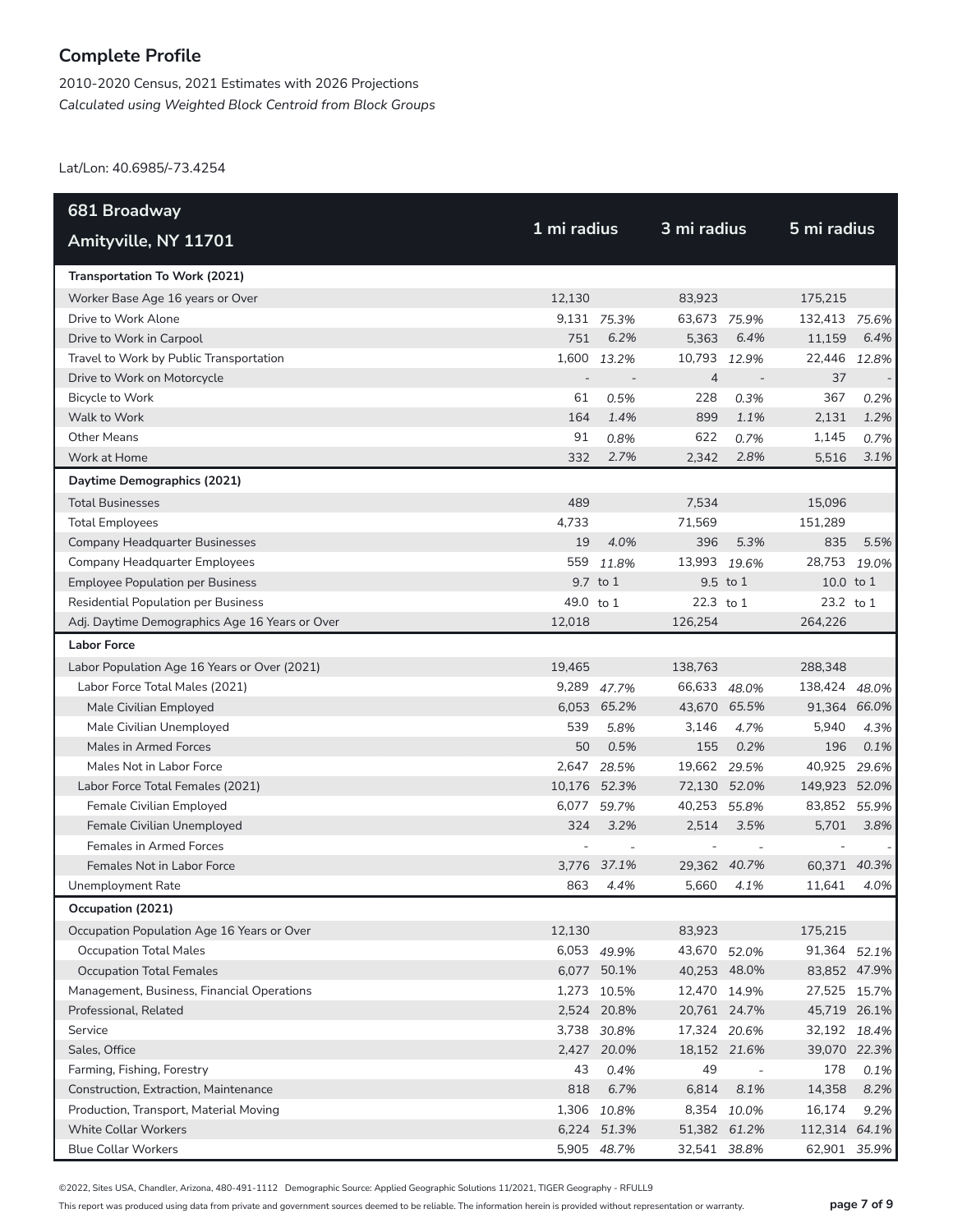2010-2020 Census, 2021 Estimates with 2026 Projections *Calculated using Weighted Block Centroid from Block Groups*

Lat/Lon: 40.6985/-73.4254

| 681 Broadway                                   |             |              |                |                          |               |       |
|------------------------------------------------|-------------|--------------|----------------|--------------------------|---------------|-------|
| Amityville, NY 11701                           | 1 mi radius |              | 3 mi radius    |                          | 5 mi radius   |       |
| Transportation To Work (2021)                  |             |              |                |                          |               |       |
| Worker Base Age 16 years or Over               | 12,130      |              | 83,923         |                          | 175,215       |       |
| Drive to Work Alone                            |             | 9,131 75.3%  | 63,673 75.9%   |                          | 132,413 75.6% |       |
| Drive to Work in Carpool                       | 751         | 6.2%         | 5,363          | 6.4%                     | 11,159        | 6.4%  |
| Travel to Work by Public Transportation        | 1.600       | 13.2%        | 10,793         | 12.9%                    | 22,446        | 12.8% |
| Drive to Work on Motorcycle                    |             |              | $\overline{4}$ | $\overline{\phantom{a}}$ | 37            |       |
| Bicycle to Work                                | 61          | 0.5%         | 228            | 0.3%                     | 367           | 0.2%  |
| Walk to Work                                   | 164         | 1.4%         | 899            | 1.1%                     | 2,131         | 1.2%  |
| <b>Other Means</b>                             | 91          | 0.8%         | 622            | 0.7%                     | 1,145         | 0.7%  |
| Work at Home                                   | 332         | 2.7%         | 2,342          | 2.8%                     | 5,516         | 3.1%  |
| Daytime Demographics (2021)                    |             |              |                |                          |               |       |
| <b>Total Businesses</b>                        | 489         |              | 7,534          |                          | 15,096        |       |
| <b>Total Employees</b>                         | 4,733       |              | 71,569         |                          | 151,289       |       |
| <b>Company Headquarter Businesses</b>          | 19          | 4.0%         | 396            | 5.3%                     | 835           | 5.5%  |
| <b>Company Headquarter Employees</b>           | 559         | 11.8%        | 13,993         | 19.6%                    | 28,753        | 19.0% |
| <b>Employee Population per Business</b>        |             | 9.7 to 1     |                | 9.5 to 1                 | 10.0 to 1     |       |
| <b>Residential Population per Business</b>     | 49.0 to 1   |              | 22.3 to 1      |                          | 23.2 to 1     |       |
| Adj. Daytime Demographics Age 16 Years or Over | 12.018      |              | 126,254        |                          | 264,226       |       |
| <b>Labor Force</b>                             |             |              |                |                          |               |       |
| Labor Population Age 16 Years or Over (2021)   | 19,465      |              | 138,763        |                          | 288,348       |       |
| Labor Force Total Males (2021)                 |             | 9,289 47.7%  | 66,633 48.0%   |                          | 138,424 48.0% |       |
| Male Civilian Employed                         |             | 6,053 65.2%  | 43,670 65.5%   |                          | 91,364 66.0%  |       |
| Male Civilian Unemployed                       | 539         | 5.8%         | 3,146          | 4.7%                     | 5,940         | 4.3%  |
| Males in Armed Forces                          | 50          | 0.5%         | 155            | 0.2%                     | 196           | 0.1%  |
| Males Not in Labor Force                       | 2,647       | 28.5%        | 19,662         | 29.5%                    | 40,925        | 29.6% |
| Labor Force Total Females (2021)               |             | 10,176 52.3% | 72,130         | 52.0%                    | 149,923 52.0% |       |
| Female Civilian Employed                       | 6,077       | 59.7%        | 40,253         | 55.8%                    | 83,852 55.9%  |       |
| Female Civilian Unemployed                     | 324         | 3.2%         | 2,514          | 3.5%                     | 5,701         | 3.8%  |
| Females in Armed Forces                        |             |              |                |                          |               |       |
| Females Not in Labor Force                     |             | 3,776 37.1%  |                | 29.362 40.7%             | 60,371 40.3%  |       |
| Unemployment Rate                              | 863         | 4.4%         | 5.660          | 4.1%                     | 11,641        | 4.0%  |
| Occupation (2021)                              |             |              |                |                          |               |       |
| Occupation Population Age 16 Years or Over     | 12,130      |              | 83,923         |                          | 175,215       |       |
| <b>Occupation Total Males</b>                  |             | 6,053 49.9%  | 43,670 52.0%   |                          | 91,364 52.1%  |       |
| <b>Occupation Total Females</b>                |             | 6,077 50.1%  | 40,253 48.0%   |                          | 83,852 47.9%  |       |
| Management, Business, Financial Operations     |             | 1,273 10.5%  | 12,470 14.9%   |                          | 27,525 15.7%  |       |
| Professional, Related                          |             | 2,524 20.8%  | 20,761 24.7%   |                          | 45,719 26.1%  |       |
| Service                                        |             | 3,738 30.8%  | 17,324 20.6%   |                          | 32,192 18.4%  |       |
| Sales, Office                                  |             | 2,427 20.0%  | 18,152 21.6%   |                          | 39,070 22.3%  |       |
| Farming, Fishing, Forestry                     | 43          | 0.4%         | 49             | $\overline{\phantom{a}}$ | 178           | 0.1%  |
| Construction, Extraction, Maintenance          | 818         | 6.7%         | 6,814          | 8.1%                     | 14,358        | 8.2%  |
| Production, Transport, Material Moving         |             | 1,306 10.8%  |                | 8,354 10.0%              | 16,174        | 9.2%  |
| <b>White Collar Workers</b>                    |             | 6,224 51.3%  | 51,382 61.2%   |                          | 112,314 64.1% |       |
| <b>Blue Collar Workers</b>                     |             | 5,905 48.7%  | 32,541 38.8%   |                          | 62,901 35.9%  |       |

©2022, Sites USA, Chandler, Arizona, 480-491-1112 Demographic Source: Applied Geographic Solutions 11/2021, TIGER Geography - RFULL9

This report was produced using data from private and government sources deemed to be reliable. The information herein is provided without representation or warranty. **page 7 of 9**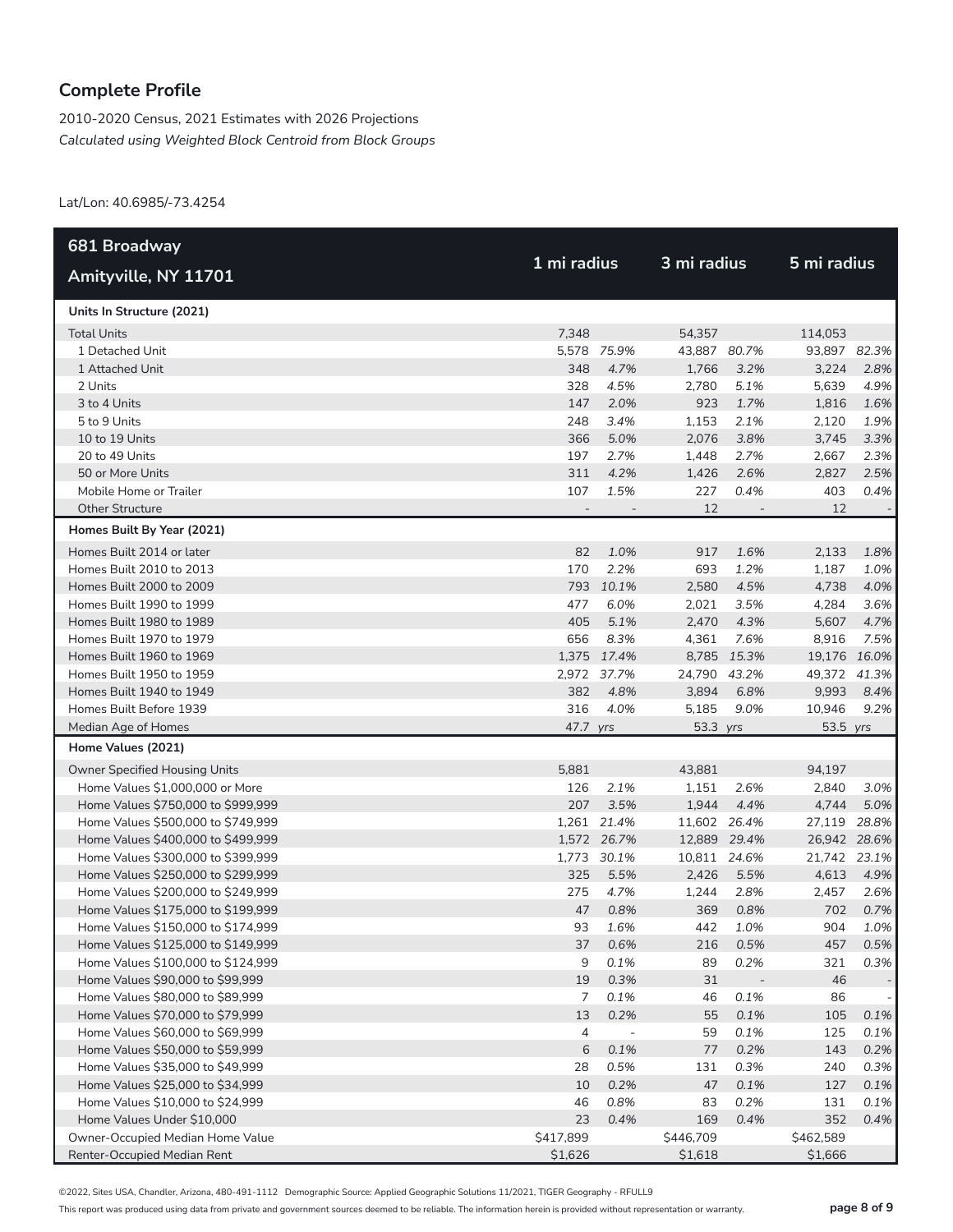2010-2020 Census, 2021 Estimates with 2026 Projections *Calculated using Weighted Block Centroid from Block Groups*

Lat/Lon: 40.6985/-73.4254

| 681 Broadway                       |           |                          | 3 mi radius  |       |              |       |  |
|------------------------------------|-----------|--------------------------|--------------|-------|--------------|-------|--|
| Amityville, NY 11701               |           | 1 mi radius              |              |       | 5 mi radius  |       |  |
| Units In Structure (2021)          |           |                          |              |       |              |       |  |
| <b>Total Units</b>                 | 7,348     |                          | 54,357       |       | 114,053      |       |  |
| 1 Detached Unit                    |           | 5,578 75.9%              | 43,887 80.7% |       | 93,897 82.3% |       |  |
| 1 Attached Unit                    | 348       | 4.7%                     | 1,766        | 3.2%  | 3,224        | 2.8%  |  |
| 2 Units                            | 328       | 4.5%                     | 2,780        | 5.1%  | 5,639        | 4.9%  |  |
| 3 to 4 Units                       | 147       | 2.0%                     | 923          | 1.7%  | 1,816        | 1.6%  |  |
| 5 to 9 Units                       | 248       | 3.4%                     | 1,153        | 2.1%  | 2,120        | 1.9%  |  |
| 10 to 19 Units                     | 366       | 5.0%                     | 2,076        | 3.8%  | 3,745        | 3.3%  |  |
| 20 to 49 Units                     | 197       | 2.7%                     | 1,448        | 2.7%  | 2,667        | 2.3%  |  |
| 50 or More Units                   | 311       | 4.2%                     | 1,426        | 2.6%  | 2,827        | 2.5%  |  |
| Mobile Home or Trailer             | 107       | 1.5%                     | 227          | 0.4%  | 403          | 0.4%  |  |
| <b>Other Structure</b>             |           |                          | 12           |       | 12           |       |  |
| Homes Built By Year (2021)         |           |                          |              |       |              |       |  |
| Homes Built 2014 or later          | 82        | 1.0%                     | 917          | 1.6%  | 2,133        | 1.8%  |  |
| Homes Built 2010 to 2013           | 170       | 2.2%                     | 693          | 1.2%  | 1,187        | 1.0%  |  |
| Homes Built 2000 to 2009           |           | 793 10.1%                | 2,580        | 4.5%  | 4,738        | 4.0%  |  |
| Homes Built 1990 to 1999           | 477       | 6.0%                     | 2,021        | 3.5%  | 4,284        | 3.6%  |  |
| Homes Built 1980 to 1989           | 405       | 5.1%                     | 2,470        | 4.3%  | 5,607        | 4.7%  |  |
| Homes Built 1970 to 1979           | 656       | 8.3%                     | 4,361        | 7.6%  | 8,916        | 7.5%  |  |
| Homes Built 1960 to 1969           |           | 1,375 17.4%              | 8,785        | 15.3% | 19,176 16.0% |       |  |
| Homes Built 1950 to 1959           |           | 2,972 37.7%              | 24,790 43.2% |       | 49,372 41.3% |       |  |
| Homes Built 1940 to 1949           | 382       | 4.8%                     | 3,894        | 6.8%  | 9,993        | 8.4%  |  |
| Homes Built Before 1939            | 316       | 4.0%                     | 5,185        | 9.0%  | 10,946       | 9.2%  |  |
| Median Age of Homes                | 47.7 yrs  |                          | 53.3 yrs     |       | 53.5 yrs     |       |  |
| Home Values (2021)                 |           |                          |              |       |              |       |  |
| Owner Specified Housing Units      | 5,881     |                          | 43,881       |       | 94,197       |       |  |
| Home Values \$1,000,000 or More    | 126       | 2.1%                     | 1,151        | 2.6%  | 2,840        | 3.0%  |  |
| Home Values \$750,000 to \$999,999 | 207       | 3.5%                     | 1,944        | 4.4%  | 4,744        | 5.0%  |  |
| Home Values \$500,000 to \$749,999 |           | 1,261 21.4%              | 11,602 26.4% |       | 27,119       | 28.8% |  |
| Home Values \$400,000 to \$499,999 |           | 1,572 26.7%              | 12,889 29.4% |       | 26,942 28.6% |       |  |
| Home Values \$300,000 to \$399,999 |           | 1,773 30.1%              | 10,811 24.6% |       | 21,742 23.1% |       |  |
| Home Values \$250,000 to \$299,999 | 325       | 5.5%                     | 2,426        | 5.5%  | 4,613        | 4.9%  |  |
| Home Values \$200,000 to \$249,999 | 275       | 4.7%                     | 1,244        | 2.8%  | 2,457        | 2.6%  |  |
| Home Values \$175,000 to \$199,999 | 47        | 0.8%                     | 369          | 0.8%  | 702          | 0.7%  |  |
| Home Values \$150,000 to \$174,999 | 93        | 1.6%                     | 442          | 1.0%  | 904          | 1.0%  |  |
| Home Values \$125,000 to \$149,999 | 37        | 0.6%                     | 216          | 0.5%  | 457          | 0.5%  |  |
| Home Values \$100,000 to \$124,999 | 9         | 0.1%                     | 89           | 0.2%  | 321          | 0.3%  |  |
| Home Values \$90,000 to \$99,999   | 19        | 0.3%                     | 31           |       | 46           |       |  |
| Home Values \$80,000 to \$89,999   | 7         | 0.1%                     | 46           | 0.1%  | 86           |       |  |
| Home Values \$70,000 to \$79,999   | 13        | 0.2%                     | 55           | 0.1%  | 105          | 0.1%  |  |
| Home Values \$60,000 to \$69,999   | 4         | $\overline{\phantom{m}}$ | 59           | 0.1%  | 125          | 0.1%  |  |
| Home Values \$50,000 to \$59,999   | 6         | 0.1%                     | 77           | 0.2%  | 143          | 0.2%  |  |
| Home Values \$35,000 to \$49,999   | 28        | 0.5%                     | 131          | 0.3%  | 240          | 0.3%  |  |
| Home Values \$25,000 to \$34,999   | 10        | 0.2%                     | 47           | 0.1%  | 127          | 0.1%  |  |
| Home Values \$10,000 to \$24,999   | 46        | 0.8%                     | 83           | 0.2%  | 131          | 0.1%  |  |
| Home Values Under \$10,000         | 23        | 0.4%                     | 169          | 0.4%  | 352          | 0.4%  |  |
| Owner-Occupied Median Home Value   | \$417,899 |                          | \$446,709    |       | \$462,589    |       |  |
| Renter-Occupied Median Rent        | \$1,626   |                          | \$1,618      |       | \$1,666      |       |  |

©2022, Sites USA, Chandler, Arizona, 480-491-1112 Demographic Source: Applied Geographic Solutions 11/2021, TIGER Geography - RFULL9

This report was produced using data from private and government sources deemed to be reliable. The information herein is provided without representation or warranty. **page 8 of 9**